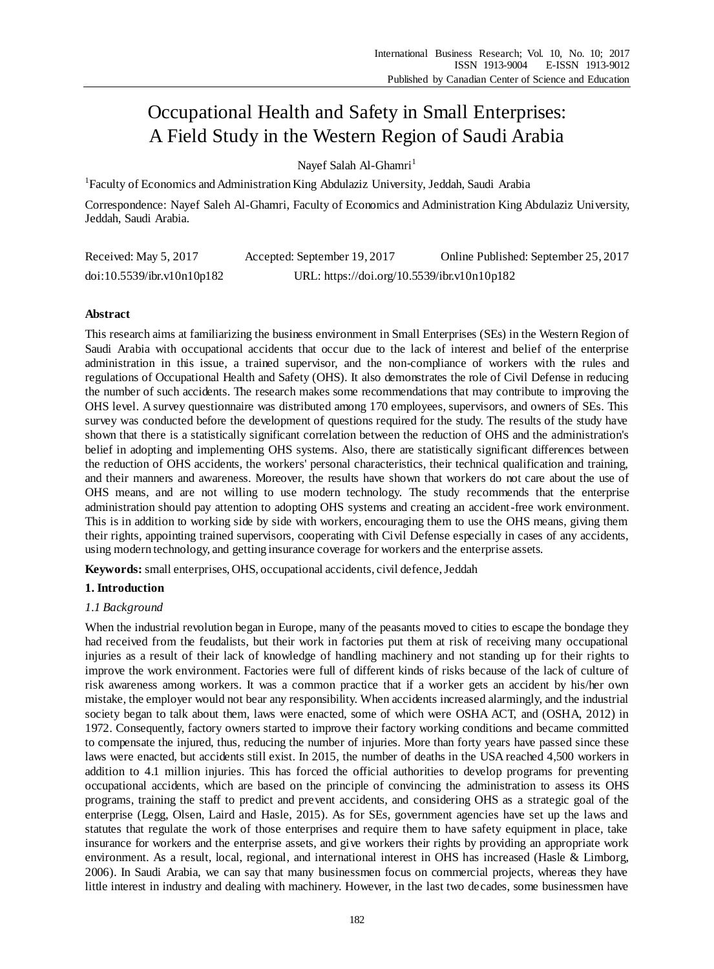# Occupational Health and Safety in Small Enterprises: A Field Study in the Western Region of Saudi Arabia

Navef Salah Al-Ghamri<sup>1</sup>

<sup>1</sup>Faculty of Economics and Administration King Abdulaziz University, Jeddah, Saudi Arabia

Correspondence: Nayef Saleh Al-Ghamri, Faculty of Economics and Administration King Abdulaziz University, Jeddah, Saudi Arabia.

| Received: May 5, 2017      | Accepted: September 19, 2017                | Online Published: September 25, 2017 |
|----------------------------|---------------------------------------------|--------------------------------------|
| doi:10.5539/ibr.v10n10p182 | URL: https://doi.org/10.5539/ibr.v10n10p182 |                                      |

# **Abstract**

This research aims at familiarizing the business environment in Small Enterprises (SEs) in the Western Region of Saudi Arabia with occupational accidents that occur due to the lack of interest and belief of the enterprise administration in this issue, a trained supervisor, and the non-compliance of workers with the rules and regulations of Occupational Health and Safety (OHS). It also demonstrates the role of Civil Defense in reducing the number of such accidents. The research makes some recommendations that may contribute to improving the OHS level. A survey questionnaire was distributed among 170 employees, supervisors, and owners of SEs. This survey was conducted before the development of questions required for the study. The results of the study have shown that there is a statistically significant correlation between the reduction of OHS and the administration's belief in adopting and implementing OHS systems. Also, there are statistically significant differences between the reduction of OHS accidents, the workers' personal characteristics, their technical qualification and training, and their manners and awareness. Moreover, the results have shown that workers do not care about the use of OHS means, and are not willing to use modern technology. The study recommends that the enterprise administration should pay attention to adopting OHS systems and creating an accident-free work environment. This is in addition to working side by side with workers, encouraging them to use the OHS means, giving them their rights, appointing trained supervisors, cooperating with Civil Defense especially in cases of any accidents, using modern technology, and getting insurance coverage for workers and the enterprise assets.

**Keywords:** small enterprises, OHS, occupational accidents, civil defence, Jeddah

# **1. Introduction**

# *1.1 Background*

When the industrial revolution began in Europe, many of the peasants moved to cities to escape the bondage they had received from the feudalists, but their work in factories put them at risk of receiving many occupational injuries as a result of their lack of knowledge of handling machinery and not standing up for their rights to improve the work environment. Factories were full of different kinds of risks because of the lack of culture of risk awareness among workers. It was a common practice that if a worker gets an accident by his/her own mistake, the employer would not bear any responsibility. When accidents increased alarmingly, and the industrial society began to talk about them, laws were enacted, some of which were OSHA ACT, and (OSHA, 2012) in 1972. Consequently, factory owners started to improve their factory working conditions and became committed to compensate the injured, thus, reducing the number of injuries. More than forty years have passed since these laws were enacted, but accidents still exist. In 2015, the number of deaths in the USA reached 4,500 workers in addition to 4.1 million injuries. This has forced the official authorities to develop programs for preventing occupational accidents, which are based on the principle of convincing the administration to assess its OHS programs, training the staff to predict and prevent accidents, and considering OHS as a strategic goal of the enterprise (Legg, Olsen, Laird and Hasle, 2015). As for SEs, government agencies have set up the laws and statutes that regulate the work of those enterprises and require them to have safety equipment in place, take insurance for workers and the enterprise assets, and give workers their rights by providing an appropriate work environment. As a result, local, regional, and international interest in OHS has increased (Hasle & Limborg, 2006). In Saudi Arabia, we can say that many businessmen focus on commercial projects, whereas they have little interest in industry and dealing with machinery. However, in the last two decades, some businessmen have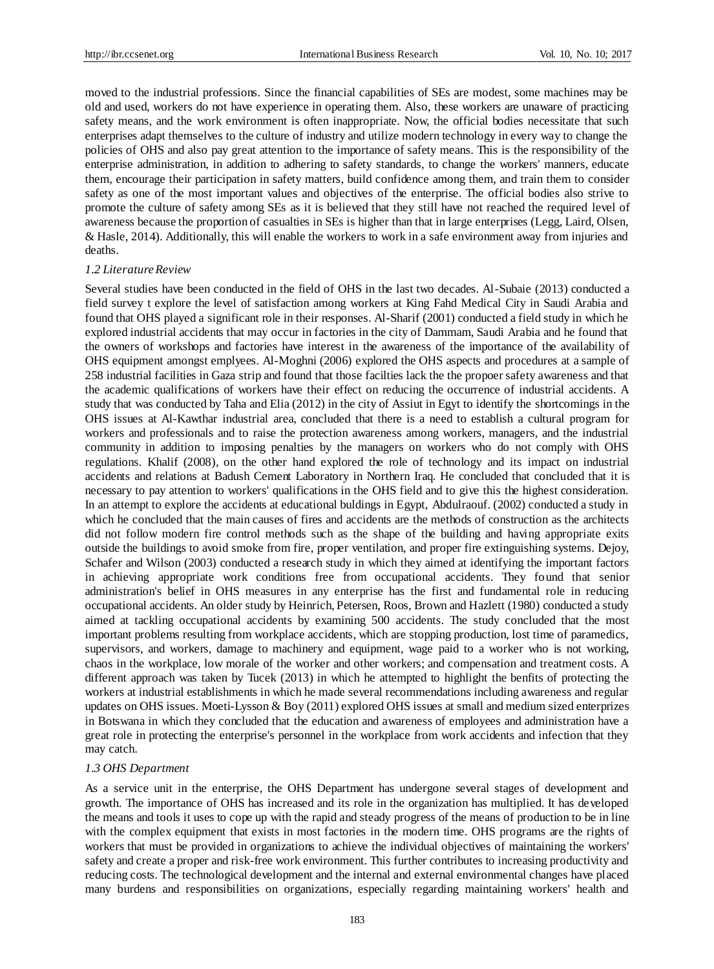moved to the industrial professions. Since the financial capabilities of SEs are modest, some machines may be old and used, workers do not have experience in operating them. Also, these workers are unaware of practicing safety means, and the work environment is often inappropriate. Now, the official bodies necessitate that such enterprises adapt themselves to the culture of industry and utilize modern technology in every way to change the policies of OHS and also pay great attention to the importance of safety means. This is the responsibility of the enterprise administration, in addition to adhering to safety standards, to change the workers' manners, educate them, encourage their participation in safety matters, build confidence among them, and train them to consider safety as one of the most important values and objectives of the enterprise. The official bodies also strive to promote the culture of safety among SEs as it is believed that they still have not reached the required level of awareness because the proportion of casualties in SEs is higher than that in large enterprises (Legg, Laird, Olsen, & Hasle, 2014). Additionally, this will enable the workers to work in a safe environment away from injuries and deaths.

#### *1.2 Literature Review*

Several studies have been conducted in the field of OHS in the last two decades. Al-Subaie (2013) conducted a field survey t explore the level of satisfaction among workers at King Fahd Medical City in Saudi Arabia and found that OHS played a significant role in their responses. Al-Sharif (2001) conducted a field study in which he explored industrial accidents that may occur in factories in the city of Dammam, Saudi Arabia and he found that the owners of workshops and factories have interest in the awareness of the importance of the availability of OHS equipment amongst emplyees. Al-Moghni (2006) explored the OHS aspects and procedures at a sample of 258 industrial facilities in Gaza strip and found that those facilties lack the the propoer safety awareness and that the academic qualifications of workers have their effect on reducing the occurrence of industrial accidents. A study that was conducted by Taha and Elia (2012) in the city of Assiut in Egyt to identify the shortcomings in the OHS issues at Al-Kawthar industrial area, concluded that there is a need to establish a cultural program for workers and professionals and to raise the protection awareness among workers, managers, and the industrial community in addition to imposing penalties by the managers on workers who do not comply with OHS regulations. Khalif (2008), on the other hand explored the role of technology and its impact on industrial accidents and relations at Badush Cement Laboratory in Northern Iraq. He concluded that concluded that it is necessary to pay attention to workers' qualifications in the OHS field and to give this the highest consideration. In an attempt to explore the accidents at educational buldings in Egypt, Abdulraouf. (2002) conducted a study in which he concluded that the main causes of fires and accidents are the methods of construction as the architects did not follow modern fire control methods such as the shape of the building and having appropriate exits outside the buildings to avoid smoke from fire, proper ventilation, and proper fire extinguishing systems. Dejoy, Schafer and Wilson (2003) conducted a research study in which they aimed at identifying the important factors in achieving appropriate work conditions free from occupational accidents. They found that senior administration's belief in OHS measures in any enterprise has the first and fundamental role in reducing occupational accidents. An older study by Heinrich, Petersen, Roos, Brown and Hazlett (1980) conducted a study aimed at tackling occupational accidents by examining 500 accidents. The study concluded that the most important problems resulting from workplace accidents, which are stopping production, lost time of paramedics, supervisors, and workers, damage to machinery and equipment, wage paid to a worker who is not working, chaos in the workplace, low morale of the worker and other workers; and compensation and treatment costs. A different approach was taken by Tucek (2013) in which he attempted to highlight the benfits of protecting the workers at industrial establishments in which he made several recommendations including awareness and regular updates on OHS issues. Moeti-Lysson & Boy (2011) explored OHS issues at small and medium sized enterprizes in Botswana in which they concluded that the education and awareness of employees and administration have a great role in protecting the enterprise's personnel in the workplace from work accidents and infection that they may catch.

#### *1.3 OHS Department*

As a service unit in the enterprise, the OHS Department has undergone several stages of development and growth. The importance of OHS has increased and its role in the organization has multiplied. It has developed the means and tools it uses to cope up with the rapid and steady progress of the means of production to be in line with the complex equipment that exists in most factories in the modern time. OHS programs are the rights of workers that must be provided in organizations to achieve the individual objectives of maintaining the workers' safety and create a proper and risk-free work environment. This further contributes to increasing productivity and reducing costs. The technological development and the internal and external environmental changes have placed many burdens and responsibilities on organizations, especially regarding maintaining workers' health and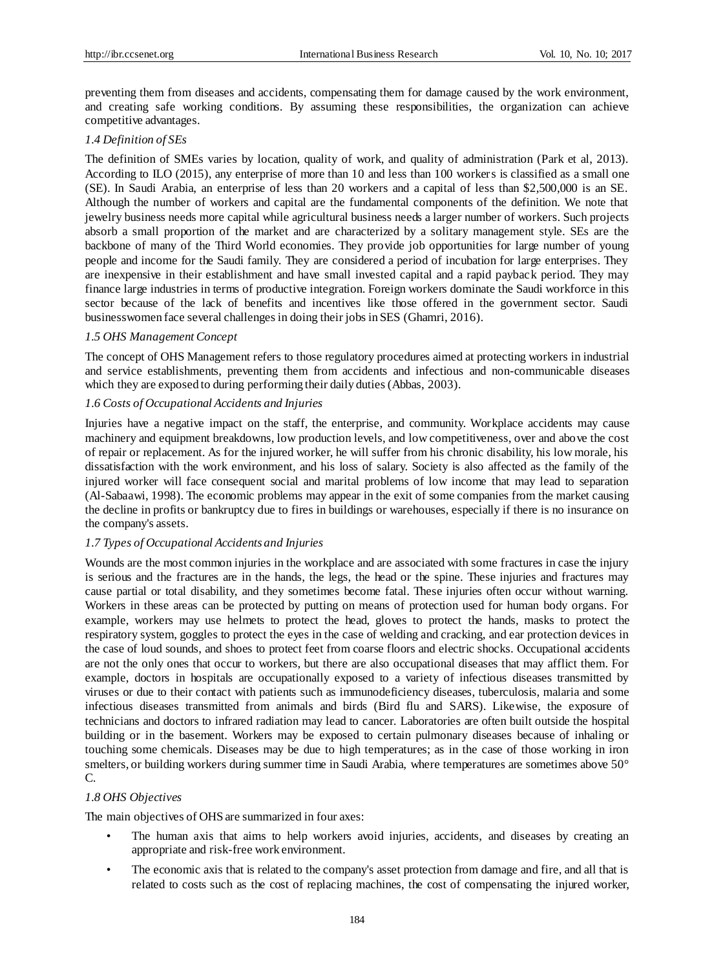preventing them from diseases and accidents, compensating them for damage caused by the work environment, and creating safe working conditions. By assuming these responsibilities, the organization can achieve competitive advantages.

## *1.4 Definition of SEs*

The definition of SMEs varies by location, quality of work, and quality of administration (Park et al, 2013). According to ILO (2015), any enterprise of more than 10 and less than 100 workers is classified as a small one (SE). In Saudi Arabia, an enterprise of less than 20 workers and a capital of less than \$2,500,000 is an SE. Although the number of workers and capital are the fundamental components of the definition. We note that jewelry business needs more capital while agricultural business needs a larger number of workers. Such projects absorb a small proportion of the market and are characterized by a solitary management style. SEs are the backbone of many of the Third World economies. They provide job opportunities for large number of young people and income for the Saudi family. They are considered a period of incubation for large enterprises. They are inexpensive in their establishment and have small invested capital and a rapid payback period. They may finance large industries in terms of productive integration. Foreign workers dominate the Saudi workforce in this sector because of the lack of benefits and incentives like those offered in the government sector. Saudi businesswomen face several challenges in doing their jobs in SES (Ghamri, 2016).

## *1.5 OHS Management Concept*

The concept of OHS Management refers to those regulatory procedures aimed at protecting workers in industrial and service establishments, preventing them from accidents and infectious and non-communicable diseases which they are exposed to during performing their daily duties (Abbas, 2003).

## *1.6 Costs of Occupational Accidents and Injuries*

Injuries have a negative impact on the staff, the enterprise, and community. Workplace accidents may cause machinery and equipment breakdowns, low production levels, and low competitiveness, over and above the cost of repair or replacement. As for the injured worker, he will suffer from his chronic disability, his low morale, his dissatisfaction with the work environment, and his loss of salary. Society is also affected as the family of the injured worker will face consequent social and marital problems of low income that may lead to separation (Al-Sabaawi, 1998). The economic problems may appear in the exit of some companies from the market causing the decline in profits or bankruptcy due to fires in buildings or warehouses, especially if there is no insurance on the company's assets.

## *1.7 Types of Occupational Accidents and Injuries*

Wounds are the most common injuries in the workplace and are associated with some fractures in case the injury is serious and the fractures are in the hands, the legs, the head or the spine. These injuries and fractures may cause partial or total disability, and they sometimes become fatal. These injuries often occur without warning. Workers in these areas can be protected by putting on means of protection used for human body organs. For example, workers may use helmets to protect the head, gloves to protect the hands, masks to protect the respiratory system, goggles to protect the eyes in the case of welding and cracking, and ear protection devices in the case of loud sounds, and shoes to protect feet from coarse floors and electric shocks. Occupational accidents are not the only ones that occur to workers, but there are also occupational diseases that may afflict them. For example, doctors in hospitals are occupationally exposed to a variety of infectious diseases transmitted by viruses or due to their contact with patients such as immunodeficiency diseases, tuberculosis, malaria and some infectious diseases transmitted from animals and birds (Bird flu and SARS). Likewise, the exposure of technicians and doctors to infrared radiation may lead to cancer. Laboratories are often built outside the hospital building or in the basement. Workers may be exposed to certain pulmonary diseases because of inhaling or touching some chemicals. Diseases may be due to high temperatures; as in the case of those working in iron smelters, or building workers during summer time in Saudi Arabia, where temperatures are sometimes above 50° C.

## *1.8 OHS Objectives*

The main objectives of OHS are summarized in four axes:

- The human axis that aims to help workers avoid injuries, accidents, and diseases by creating an appropriate and risk-free work environment.
- The economic axis that is related to the company's asset protection from damage and fire, and all that is related to costs such as the cost of replacing machines, the cost of compensating the injured worker,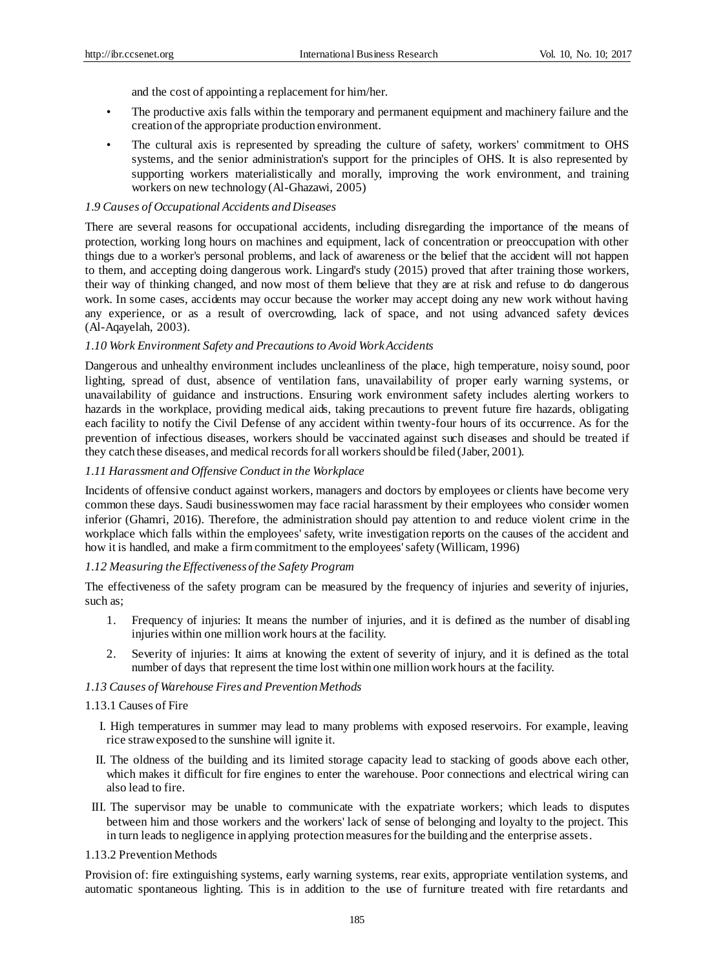and the cost of appointing a replacement for him/her.

- The productive axis falls within the temporary and permanent equipment and machinery failure and the creation of the appropriate production environment.
- The cultural axis is represented by spreading the culture of safety, workers' commitment to OHS systems, and the senior administration's support for the principles of OHS. It is also represented by supporting workers materialistically and morally, improving the work environment, and training workers on new technology (Al-Ghazawi, 2005)

#### *1.9 Causes of Occupational Accidents and Diseases*

There are several reasons for occupational accidents, including disregarding the importance of the means of protection, working long hours on machines and equipment, lack of concentration or preoccupation with other things due to a worker's personal problems, and lack of awareness or the belief that the accident will not happen to them, and accepting doing dangerous work. Lingard's study (2015) proved that after training those workers, their way of thinking changed, and now most of them believe that they are at risk and refuse to do dangerous work. In some cases, accidents may occur because the worker may accept doing any new work without having any experience, or as a result of overcrowding, lack of space, and not using advanced safety devices (Al-Aqayelah, 2003).

#### *1.10 Work Environment Safety and Precautions to Avoid Work Accidents*

Dangerous and unhealthy environment includes uncleanliness of the place, high temperature, noisy sound, poor lighting, spread of dust, absence of ventilation fans, unavailability of proper early warning systems, or unavailability of guidance and instructions. Ensuring work environment safety includes alerting workers to hazards in the workplace, providing medical aids, taking precautions to prevent future fire hazards, obligating each facility to notify the Civil Defense of any accident within twenty-four hours of its occurrence. As for the prevention of infectious diseases, workers should be vaccinated against such diseases and should be treated if they catch these diseases, and medical records for all workers should be filed (Jaber, 2001).

## *1.11 Harassment and Offensive Conduct in the Workplace*

Incidents of offensive conduct against workers, managers and doctors by employees or clients have become very common these days. Saudi businesswomen may face racial harassment by their employees who consider women inferior (Ghamri, 2016). Therefore, the administration should pay attention to and reduce violent crime in the workplace which falls within the employees' safety, write investigation reports on the causes of the accident and how it is handled, and make a firm commitment to the employees' safety (Willicam, 1996)

## *1.12 Measuring the Effectiveness of the Safety Program*

The effectiveness of the safety program can be measured by the frequency of injuries and severity of injuries, such as;

- 1. Frequency of injuries: It means the number of injuries, and it is defined as the number of disabling injuries within one million work hours at the facility.
- 2. Severity of injuries: It aims at knowing the extent of severity of injury, and it is defined as the total number of days that represent the time lost within one million work hours at the facility.

#### *1.13 Causes of Warehouse Fires and Prevention Methods*

## 1.13.1 Causes of Fire

- I. High temperatures in summer may lead to many problems with exposed reservoirs. For example, leaving rice straw exposed to the sunshine will ignite it.
- II. The oldness of the building and its limited storage capacity lead to stacking of goods above each other, which makes it difficult for fire engines to enter the warehouse. Poor connections and electrical wiring can also lead to fire.
- III. The supervisor may be unable to communicate with the expatriate workers; which leads to disputes between him and those workers and the workers' lack of sense of belonging and loyalty to the project. This in turn leads to negligence in applying protection measures for the building and the enterprise assets.

#### 1.13.2 Prevention Methods

Provision of: fire extinguishing systems, early warning systems, rear exits, appropriate ventilation systems, and automatic spontaneous lighting. This is in addition to the use of furniture treated with fire retardants and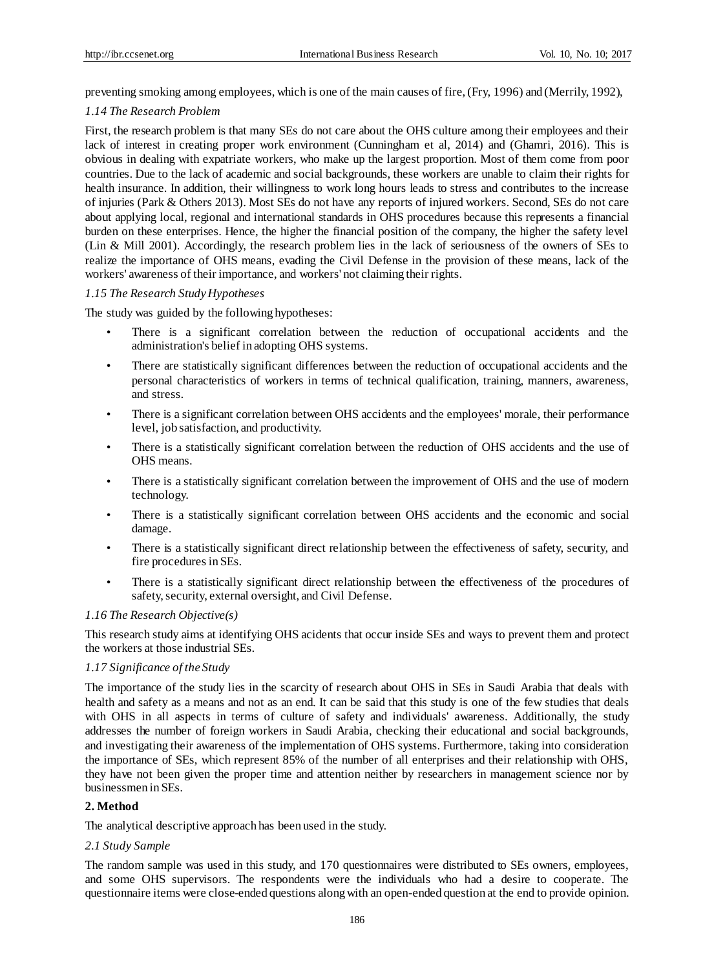preventing smoking among employees, which is one of the main causes of fire, (Fry, 1996) and (Merrily, 1992),

#### *1.14 The Research Problem*

First, the research problem is that many SEs do not care about the OHS culture among their employees and their lack of interest in creating proper work environment (Cunningham et al, 2014) and (Ghamri, 2016). This is obvious in dealing with expatriate workers, who make up the largest proportion. Most of them come from poor countries. Due to the lack of academic and social backgrounds, these workers are unable to claim their rights for health insurance. In addition, their willingness to work long hours leads to stress and contributes to the increase of injuries (Park & Others 2013). Most SEs do not have any reports of injured workers. Second, SEs do not care about applying local, regional and international standards in OHS procedures because this represents a financial burden on these enterprises. Hence, the higher the financial position of the company, the higher the safety level (Lin & Mill 2001). Accordingly, the research problem lies in the lack of seriousness of the owners of SEs to realize the importance of OHS means, evading the Civil Defense in the provision of these means, lack of the workers' awareness of their importance, and workers' not claiming their rights.

#### *1.15 The Research Study Hypotheses*

The study was guided by the following hypotheses:

- There is a significant correlation between the reduction of occupational accidents and the administration's belief in adopting OHS systems.
- There are statistically significant differences between the reduction of occupational accidents and the personal characteristics of workers in terms of technical qualification, training, manners, awareness, and stress.
- There is a significant correlation between OHS accidents and the employees' morale, their performance level, job satisfaction, and productivity.
- There is a statistically significant correlation between the reduction of OHS accidents and the use of OHS means.
- There is a statistically significant correlation between the improvement of OHS and the use of modern technology.
- There is a statistically significant correlation between OHS accidents and the economic and social damage.
- There is a statistically significant direct relationship between the effectiveness of safety, security, and fire procedures in SEs.
- There is a statistically significant direct relationship between the effectiveness of the procedures of safety, security, external oversight, and Civil Defense.

#### *1.16 The Research Objective(s)*

This research study aims at identifying OHS acidents that occur inside SEs and ways to prevent them and protect the workers at those industrial SEs.

#### *1.17 Significance of the Study*

The importance of the study lies in the scarcity of research about OHS in SEs in Saudi Arabia that deals with health and safety as a means and not as an end. It can be said that this study is one of the few studies that deals with OHS in all aspects in terms of culture of safety and individuals' awareness. Additionally, the study addresses the number of foreign workers in Saudi Arabia, checking their educational and social backgrounds, and investigating their awareness of the implementation of OHS systems. Furthermore, taking into consideration the importance of SEs, which represent 85% of the number of all enterprises and their relationship with OHS, they have not been given the proper time and attention neither by researchers in management science nor by businessmen in SEs.

## **2. Method**

The analytical descriptive approach has been used in the study.

#### *2.1 Study Sample*

The random sample was used in this study, and 170 questionnaires were distributed to SEs owners, employees, and some OHS supervisors. The respondents were the individuals who had a desire to cooperate. The questionnaire items were close-ended questions along with an open-ended question at the end to provide opinion.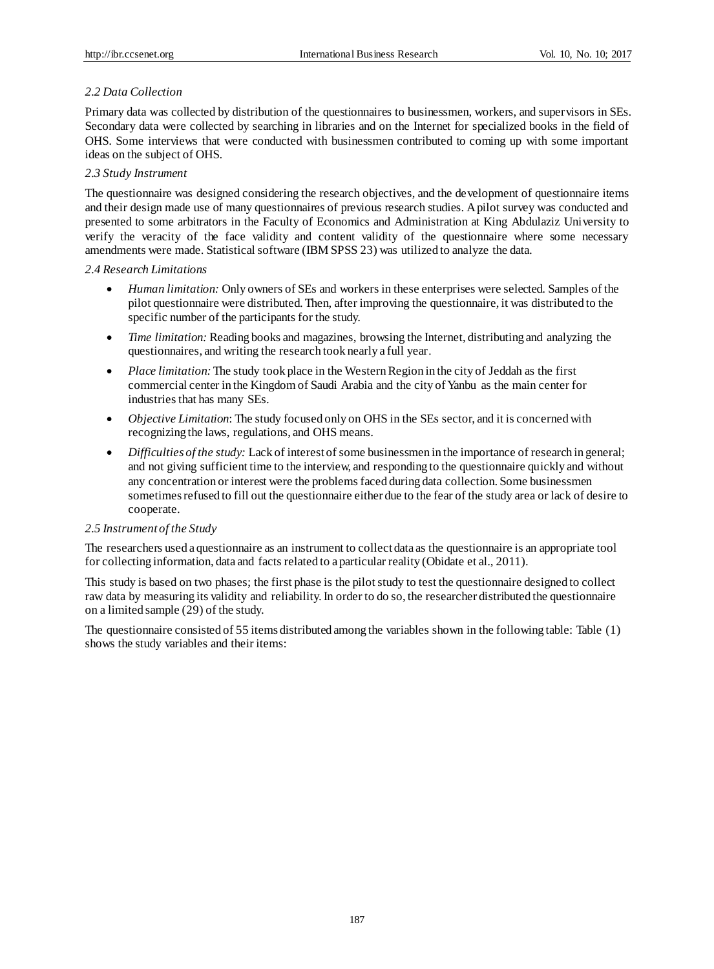# *2.2 Data Collection*

Primary data was collected by distribution of the questionnaires to businessmen, workers, and supervisors in SEs. Secondary data were collected by searching in libraries and on the Internet for specialized books in the field of OHS. Some interviews that were conducted with businessmen contributed to coming up with some important ideas on the subject of OHS.

## *2.3 Study Instrument*

The questionnaire was designed considering the research objectives, and the development of questionnaire items and their design made use of many questionnaires of previous research studies. A pilot survey was conducted and presented to some arbitrators in the Faculty of Economics and Administration at King Abdulaziz University to verify the veracity of the face validity and content validity of the questionnaire where some necessary amendments were made. Statistical software (IBM SPSS 23) was utilized to analyze the data.

## *2.4 Research Limitations*

- *Human limitation:* Only owners of SEs and workers in these enterprises were selected. Samples of the pilot questionnaire were distributed. Then, after improving the questionnaire, it was distributed to the specific number of the participants for the study.
- *Time limitation:* Reading books and magazines, browsing the Internet, distributing and analyzing the questionnaires, and writing the research took nearly a full year.
- *Place limitation:* The study took place in the Western Region in the city of Jeddah as the first commercial center in the Kingdom of Saudi Arabia and the city of Yanbu as the main center for industries that has many SEs.
- *Objective Limitation*: The study focused only on OHS in the SEs sector, and it is concerned with recognizing the laws, regulations, and OHS means.
- *Difficulties of the study:* Lack of interest of some businessmen in the importance of research in general; and not giving sufficient time to the interview, and responding to the questionnaire quickly and without any concentration or interest were the problems faced during data collection. Some businessmen sometimes refused to fill out the questionnaire either due to the fear of the study area or lack of desire to cooperate.

## *2.5 Instrument of the Study*

The researchers used a questionnaire as an instrument to collect data as the questionnaire is an appropriate tool for collecting information, data and facts related to a particular reality (Obidate et al., 2011).

This study is based on two phases; the first phase is the pilot study to test the questionnaire designed to collect raw data by measuring its validity and reliability. In order to do so, the researcher distributed the questionnaire on a limited sample (29) of the study.

The questionnaire consisted of 55 items distributed among the variables shown in the following table: Table (1) shows the study variables and their items: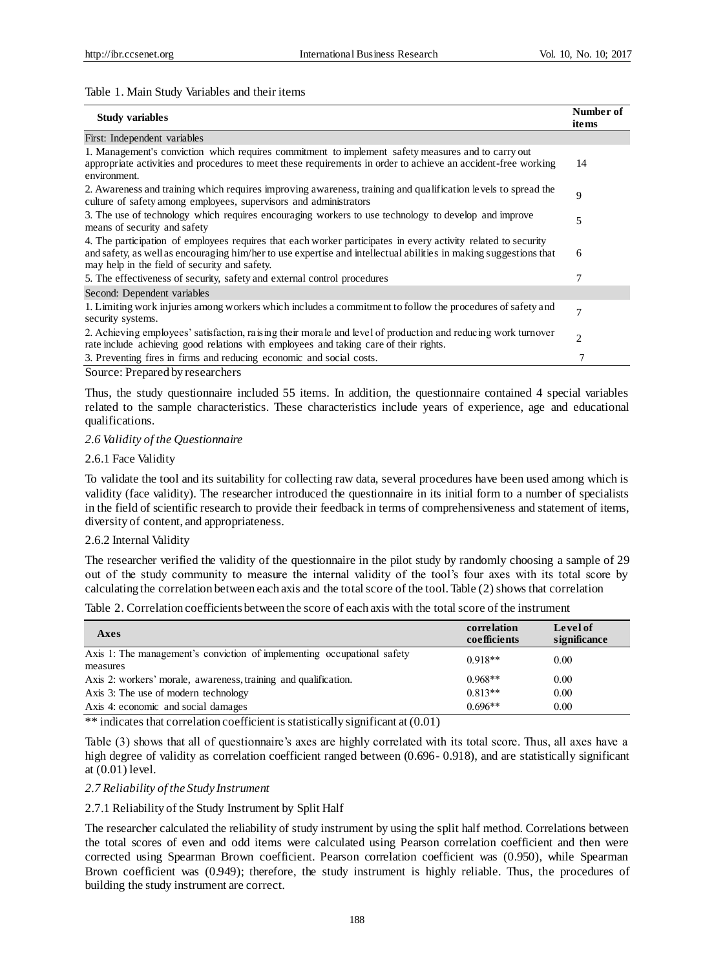#### Table 1. Main Study Variables and their items

| <b>Study variables</b>                                                                                                                                                                                                                                                               | Number of<br>items |
|--------------------------------------------------------------------------------------------------------------------------------------------------------------------------------------------------------------------------------------------------------------------------------------|--------------------|
| First: Independent variables                                                                                                                                                                                                                                                         |                    |
| 1. Management's conviction which requires commitment to implement safety measures and to carry out<br>appropriate activities and procedures to meet these requirements in order to achieve an accident-free working<br>environment.                                                  | 14                 |
| 2. Awareness and training which requires improving awareness, training and qualification levels to spread the<br>culture of safety among employees, supervisors and administrators                                                                                                   | 9                  |
| 3. The use of technology which requires encouraging workers to use technology to develop and improve<br>means of security and safety                                                                                                                                                 | 5                  |
| 4. The participation of employees requires that each worker participates in every activity related to security<br>and safety, as well as encouraging him/her to use expertise and intellectual abilities in making suggestions that<br>may help in the field of security and safety. | 6                  |
| 5. The effectiveness of security, safety and external control procedures                                                                                                                                                                                                             |                    |
| Second: Dependent variables                                                                                                                                                                                                                                                          |                    |
| 1. Limiting work injuries among workers which includes a commitment to follow the procedures of safety and<br>security systems.                                                                                                                                                      | 7                  |
| 2. Achieving employees' satisfaction, raising their morale and level of production and reducing work turnover<br>rate include achieving good relations with employees and taking care of their rights.                                                                               | $\overline{2}$     |
| 3. Preventing fires in firms and reducing economic and social costs.                                                                                                                                                                                                                 |                    |

Source: Prepared by researchers

Thus, the study questionnaire included 55 items. In addition, the questionnaire contained 4 special variables related to the sample characteristics. These characteristics include years of experience, age and educational qualifications.

#### *2.6 Validity of the Questionnaire*

#### 2.6.1 Face Validity

To validate the tool and its suitability for collecting raw data, several procedures have been used among which is validity (face validity). The researcher introduced the questionnaire in its initial form to a number of specialists in the field of scientific research to provide their feedback in terms of comprehensiveness and statement of items, diversity of content, and appropriateness.

## 2.6.2 Internal Validity

The researcher verified the validity of the questionnaire in the pilot study by randomly choosing a sample of 29 out of the study community to measure the internal validity of the tool's four axes with its total score by calculating the correlation between each axis and the total score of the tool. Table (2) shows that correlation

Table 2. Correlation coefficients between the score of each axis with the total score of the instrument

| <b>Axes</b>                                                                                                                                                                                                       | correlation<br>coefficients | Level of<br>significance |
|-------------------------------------------------------------------------------------------------------------------------------------------------------------------------------------------------------------------|-----------------------------|--------------------------|
| Axis 1: The management's conviction of implementing occupational safety<br>measures                                                                                                                               | $0.918**$                   | 0.00                     |
| Axis 2: workers' morale, awareness, training and qualification.                                                                                                                                                   | $0.968**$                   | 0.00                     |
| Axis 3: The use of modern technology                                                                                                                                                                              | $0.813**$                   | 0.00                     |
| Axis 4: economic and social damages                                                                                                                                                                               | $0.696**$                   | 0.00                     |
| $\sim$ $\sim$ $\sim$ $\sim$ $\sim$ $\sim$ $\sim$ $\sim$<br>$-1.11$ , $-1.11$ , $-1.11$ , $-1.11$ , $-1.11$ , $-1.11$ , $-1.11$ , $-1.11$ , $-1.11$<br>$\cdot$ $\sim$<br>$\sim$ $\sim$ $\sim$ $\sim$ $\sim$ $\sim$ |                             |                          |

\*\* indicates that correlation coefficient is statistically significant at (0.01)

Table (3) shows that all of questionnaire's axes are highly correlated with its total score. Thus, all axes have a high degree of validity as correlation coefficient ranged between (0.696- 0.918), and are statistically significant at (0.01) level.

#### *2.7 Reliability of the Study Instrument*

## 2.7.1 Reliability of the Study Instrument by Split Half

The researcher calculated the reliability of study instrument by using the split half method. Correlations between the total scores of even and odd items were calculated using Pearson correlation coefficient and then were corrected using Spearman Brown coefficient. Pearson correlation coefficient was (0.950), while Spearman Brown coefficient was (0.949); therefore, the study instrument is highly reliable. Thus, the procedures of building the study instrument are correct.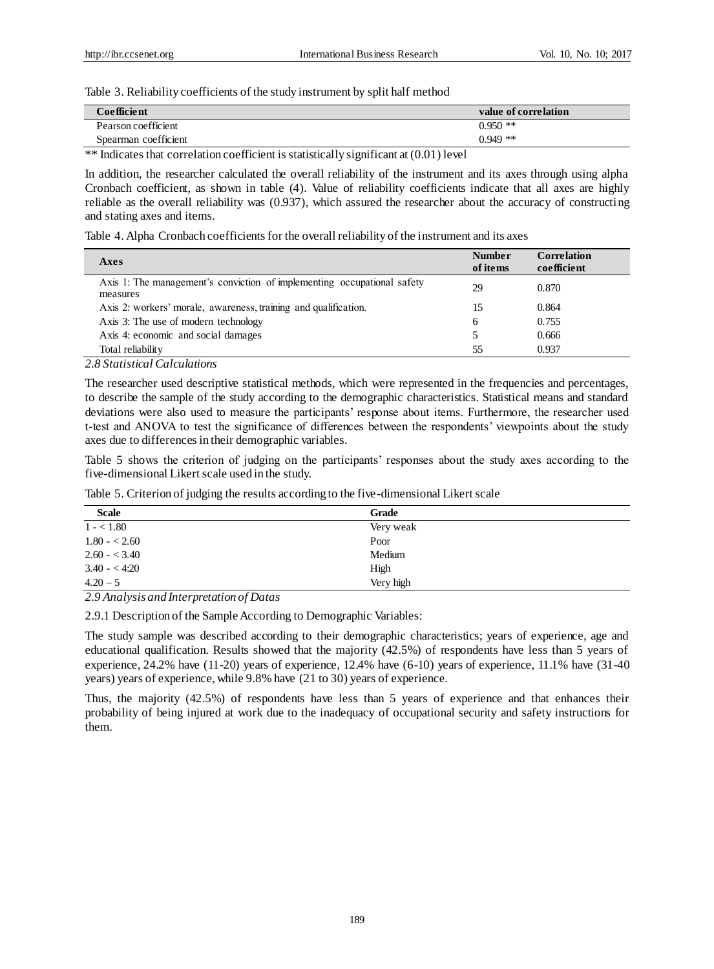Table 3. Reliability coefficients of the study instrument by split half method

| Coefficient          | value of correlation |
|----------------------|----------------------|
| Pearson coefficient  | $0.950$ **           |
| Spearman coefficient | $0.949**$            |

\*\* Indicates that correlation coefficient is statistically significant at (0.01) level

In addition, the researcher calculated the overall reliability of the instrument and its axes through using alpha Cronbach coefficient, as shown in table (4). Value of reliability coefficients indicate that all axes are highly reliable as the overall reliability was (0.937), which assured the researcher about the accuracy of constructing and stating axes and items.

Table 4. Alpha Cronbach coefficients for the overall reliability of the instrument and its axes

| Axes                                                                                | <b>Number</b><br>of items | <b>Correlation</b><br>coefficient |
|-------------------------------------------------------------------------------------|---------------------------|-----------------------------------|
| Axis 1: The management's conviction of implementing occupational safety<br>measures | 29                        | 0.870                             |
| Axis 2: workers' morale, awareness, training and qualification.                     | 15                        | 0.864                             |
| Axis 3: The use of modern technology                                                | 6                         | 0.755                             |
| Axis 4: economic and social damages                                                 |                           | 0.666                             |
| Total reliability                                                                   | 55                        | 0.937                             |

*2.8 Statistical Calculations* 

The researcher used descriptive statistical methods, which were represented in the frequencies and percentages, to describe the sample of the study according to the demographic characteristics. Statistical means and standard deviations were also used to measure the participants' response about items. Furthermore, the researcher used t-test and ANOVA to test the significance of differences between the respondents' viewpoints about the study axes due to differences in their demographic variables.

Table 5 shows the criterion of judging on the participants' responses about the study axes according to the five-dimensional Likert scale used in the study.

Table 5. Criterion of judging the results according to the five-dimensional Likert scale

| <b>Scale</b>  | <b>Grade</b> |  |
|---------------|--------------|--|
| $1 - 1.80$    | Very weak    |  |
| $1.80 - 2.60$ | Poor         |  |
| $2.60 - 3.40$ | Medium       |  |
| $3.40 - 4.20$ | High         |  |
| $4.20 - 5$    | Very high    |  |

*2.9 Analysis and Interpretation of Datas*

2.9.1 Description of the Sample According to Demographic Variables:

The study sample was described according to their demographic characteristics; years of experience, age and educational qualification. Results showed that the majority (42.5%) of respondents have less than 5 years of experience, 24.2% have (11-20) years of experience, 12.4% have (6-10) years of experience, 11.1% have (31-40 years) years of experience, while 9.8% have (21 to 30) years of experience.

Thus, the majority (42.5%) of respondents have less than 5 years of experience and that enhances their probability of being injured at work due to the inadequacy of occupational security and safety instructions for them.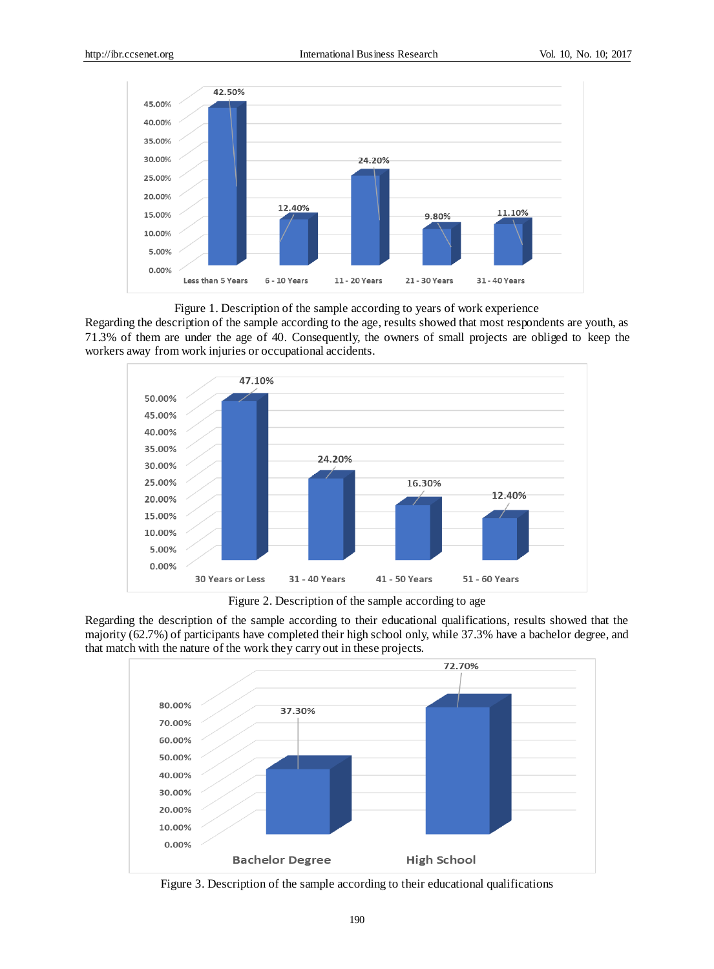

Figure 1. Description of the sample according to years of work experience

Regarding the description of the sample according to the age, results showed that most respondents are youth, as 71.3% of them are under the age of 40. Consequently, the owners of small projects are obliged to keep the workers away from work injuries or occupational accidents.



Figure 2. Description of the sample according to age

Regarding the description of the sample according to their educational qualifications, results showed that the majority (62.7%) of participants have completed their high school only, while 37.3% have a bachelor degree, and that match with the nature of the work they carry out in these projects.



Figure 3. Description of the sample according to their educational qualifications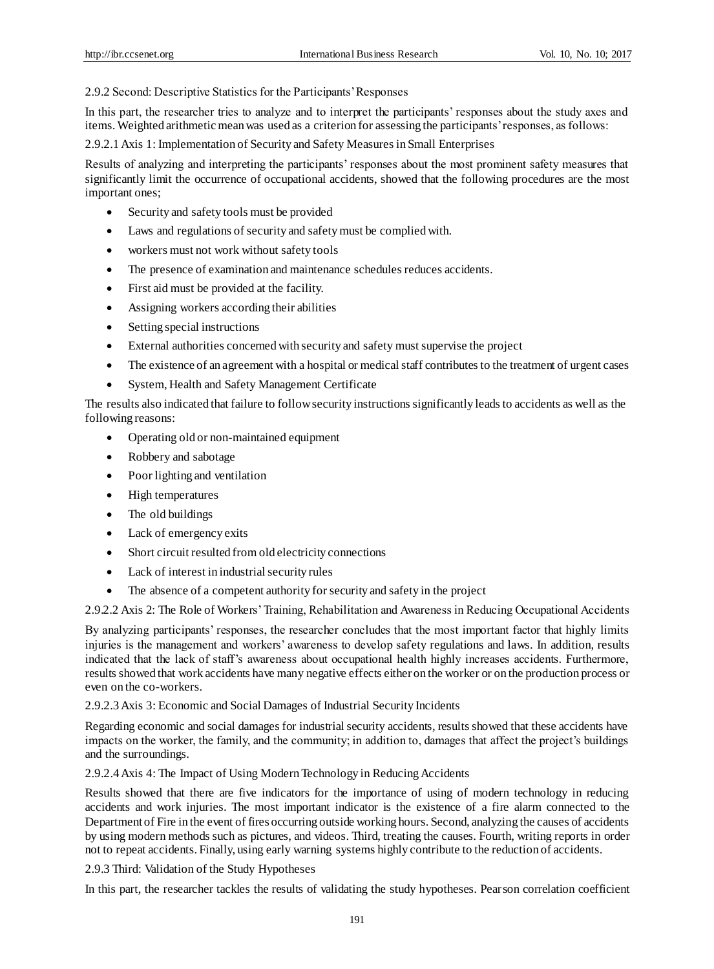2.9.2 Second: Descriptive Statistics for the Participants' Responses

In this part, the researcher tries to analyze and to interpret the participants' responses about the study axes and items. Weighted arithmetic mean was used as a criterion for assessing the participants' responses, as follows:

2.9.2.1 Axis 1: Implementation of Security and Safety Measures in Small Enterprises

Results of analyzing and interpreting the participants' responses about the most prominent safety measures that significantly limit the occurrence of occupational accidents, showed that the following procedures are the most important ones;

- Security and safety tools must be provided
- Laws and regulations of security and safety must be complied with.
- workers must not work without safety tools
- The presence of examination and maintenance schedules reduces accidents.
- First aid must be provided at the facility.
- Assigning workers according their abilities
- Setting special instructions
- External authorities concerned with security and safety must supervise the project
- The existence of an agreement with a hospital or medical staff contributes to the treatment of urgent cases
- System, Health and Safety Management Certificate

The results also indicated that failure to follow security instructions significantly leads to accidents as well as the following reasons:

- Operating old or non-maintained equipment
- Robbery and sabotage
- Poor lighting and ventilation
- High temperatures
- The old buildings
- Lack of emergency exits
- Short circuit resulted from old electricity connections
- Lack of interest in industrial security rules
- The absence of a competent authority for security and safety in the project

2.9.2.2 Axis 2: The Role of Workers' Training, Rehabilitation and Awareness in Reducing Occupational Accidents

By analyzing participants' responses, the researcher concludes that the most important factor that highly limits injuries is the management and workers' awareness to develop safety regulations and laws. In addition, results indicated that the lack of staff's awareness about occupational health highly increases accidents. Furthermore, results showed that work accidents have many negative effects either on the worker or on the production process or even on the co-workers.

2.9.2.3 Axis 3: Economic and Social Damages of Industrial Security Incidents

Regarding economic and social damages for industrial security accidents, results showed that these accidents have impacts on the worker, the family, and the community; in addition to, damages that affect the project's buildings and the surroundings.

## 2.9.2.4 Axis 4: The Impact of Using Modern Technology in Reducing Accidents

Results showed that there are five indicators for the importance of using of modern technology in reducing accidents and work injuries. The most important indicator is the existence of a fire alarm connected to the Department of Fire in the event of fires occurring outside working hours. Second, analyzing the causes of accidents by using modern methods such as pictures, and videos. Third, treating the causes. Fourth, writing reports in order not to repeat accidents. Finally, using early warning systems highly contribute to the reduction of accidents.

2.9.3 Third: Validation of the Study Hypotheses

In this part, the researcher tackles the results of validating the study hypotheses. Pearson correlation coefficient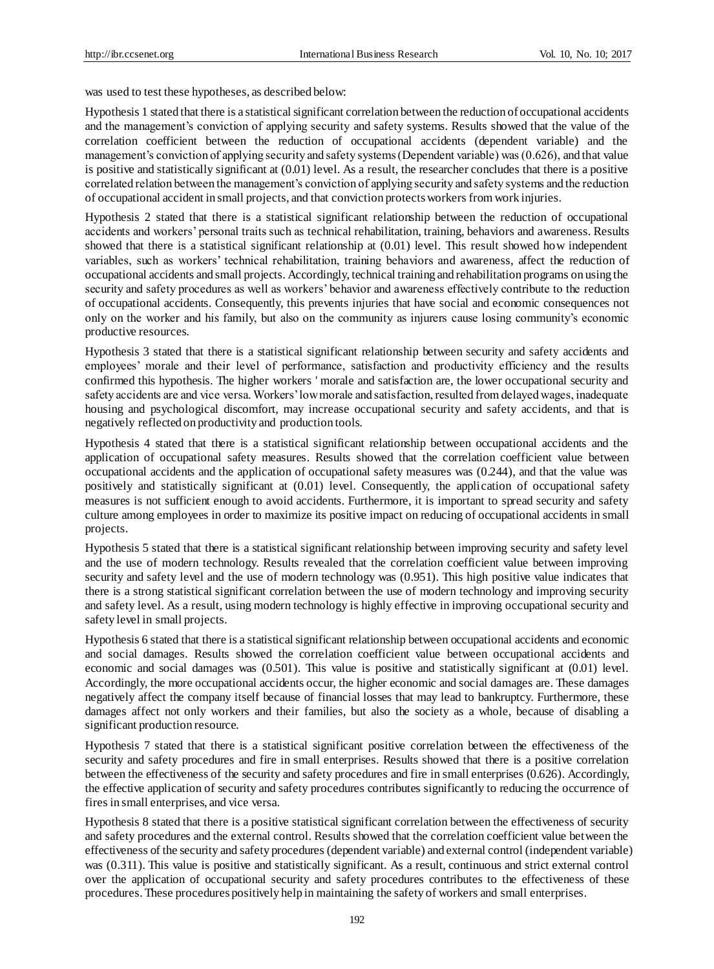was used to test these hypotheses, as described below:

Hypothesis 1 stated that there is a statistical significant correlation between the reduction of occupational accidents and the management's conviction of applying security and safety systems. Results showed that the value of the correlation coefficient between the reduction of occupational accidents (dependent variable) and the management's conviction of applying security and safety systems (Dependent variable) was (0.626), and that value is positive and statistically significant at  $(0.01)$  level. As a result, the researcher concludes that there is a positive correlated relation between the management's conviction of applying security and safety systems and the reduction of occupational accident in small projects, and that conviction protects workers from work injuries.

Hypothesis 2 stated that there is a statistical significant relationship between the reduction of occupational accidents and workers' personal traits such as technical rehabilitation, training, behaviors and awareness. Results showed that there is a statistical significant relationship at (0.01) level. This result showed how independent variables, such as workers' technical rehabilitation, training behaviors and awareness, affect the reduction of occupational accidents and small projects. Accordingly, technical training and rehabilitation programs on using the security and safety procedures as well as workers' behavior and awareness effectively contribute to the reduction of occupational accidents. Consequently, this prevents injuries that have social and economic consequences not only on the worker and his family, but also on the community as injurers cause losing community's economic productive resources.

Hypothesis 3 stated that there is a statistical significant relationship between security and safety accidents and employees' morale and their level of performance, satisfaction and productivity efficiency and the results confirmed this hypothesis. The higher workers ' morale and satisfaction are, the lower occupational security and safety accidents are and vice versa. Workers' low morale and satisfaction, resulted from delayed wages, inadequate housing and psychological discomfort, may increase occupational security and safety accidents, and that is negatively reflected on productivity and production tools.

Hypothesis 4 stated that there is a statistical significant relationship between occupational accidents and the application of occupational safety measures. Results showed that the correlation coefficient value between occupational accidents and the application of occupational safety measures was (0.244), and that the value was positively and statistically significant at (0.01) level. Consequently, the application of occupational safety measures is not sufficient enough to avoid accidents. Furthermore, it is important to spread security and safety culture among employees in order to maximize its positive impact on reducing of occupational accidents in small projects.

Hypothesis 5 stated that there is a statistical significant relationship between improving security and safety level and the use of modern technology. Results revealed that the correlation coefficient value between improving security and safety level and the use of modern technology was (0.951). This high positive value indicates that there is a strong statistical significant correlation between the use of modern technology and improving security and safety level. As a result, using modern technology is highly effective in improving occupational security and safety level in small projects.

Hypothesis 6 stated that there is a statistical significant relationship between occupational accidents and economic and social damages. Results showed the correlation coefficient value between occupational accidents and economic and social damages was (0.501). This value is positive and statistically significant at (0.01) level. Accordingly, the more occupational accidents occur, the higher economic and social damages are. These damages negatively affect the company itself because of financial losses that may lead to bankruptcy. Furthermore, these damages affect not only workers and their families, but also the society as a whole, because of disabling a significant production resource.

Hypothesis 7 stated that there is a statistical significant positive correlation between the effectiveness of the security and safety procedures and fire in small enterprises. Results showed that there is a positive correlation between the effectiveness of the security and safety procedures and fire in small enterprises (0.626). Accordingly, the effective application of security and safety procedures contributes significantly to reducing the occurrence of fires in small enterprises, and vice versa.

Hypothesis 8 stated that there is a positive statistical significant correlation between the effectiveness of security and safety procedures and the external control. Results showed that the correlation coefficient value between the effectiveness of the security and safety procedures (dependent variable) and external control (independent variable) was (0.311). This value is positive and statistically significant. As a result, continuous and strict external control over the application of occupational security and safety procedures contributes to the effectiveness of these procedures. These procedures positively help in maintaining the safety of workers and small enterprises.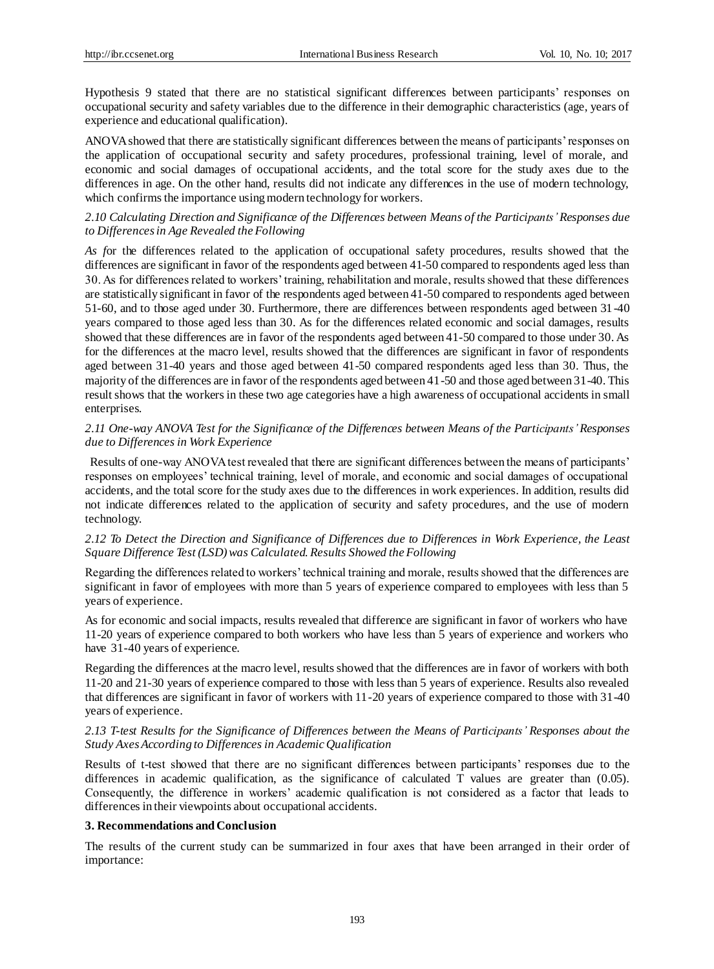Hypothesis 9 stated that there are no statistical significant differences between participants' responses on occupational security and safety variables due to the difference in their demographic characteristics (age, years of experience and educational qualification).

ANOVA showed that there are statistically significant differences between the means of participants' responses on the application of occupational security and safety procedures, professional training, level of morale, and economic and social damages of occupational accidents, and the total score for the study axes due to the differences in age. On the other hand, results did not indicate any differences in the use of modern technology, which confirms the importance using modern technology for workers.

## *2.10 Calculating Direction and Significance of the Differences between Means of the Participants' Responses due to Differences in Age Revealed the Following*

*As f*or the differences related to the application of occupational safety procedures, results showed that the differences are significant in favor of the respondents aged between 41-50 compared to respondents aged less than 30. As for differences related to workers' training, rehabilitation and morale, results showed that these differences are statistically significant in favor of the respondents aged between 41-50 compared to respondents aged between 51-60, and to those aged under 30. Furthermore, there are differences between respondents aged between 31-40 years compared to those aged less than 30. As for the differences related economic and social damages, results showed that these differences are in favor of the respondents aged between 41-50 compared to those under 30. As for the differences at the macro level, results showed that the differences are significant in favor of respondents aged between 31-40 years and those aged between 41-50 compared respondents aged less than 30. Thus, the majority of the differences are in favor of the respondents aged between 41-50 and those aged between 31-40. This result shows that the workers in these two age categories have a high awareness of occupational accidents in small enterprises.

## *2.11 One-way ANOVA Test for the Significance of the Differences between Means of the Participants'Responses due to Differences in Work Experience*

Results of one-way ANOVA test revealed that there are significant differences between the means of participants' responses on employees' technical training, level of morale, and economic and social damages of occupational accidents, and the total score for the study axes due to the differences in work experiences. In addition, results did not indicate differences related to the application of security and safety procedures, and the use of modern technology.

## *2.12 To Detect the Direction and Significance of Differences due to Differences in Work Experience, the Least Square Difference Test (LSD) was Calculated. Results Showed the Following*

Regarding the differences related to workers' technical training and morale, results showed that the differences are significant in favor of employees with more than 5 years of experience compared to employees with less than 5 years of experience.

As for economic and social impacts, results revealed that difference are significant in favor of workers who have 11-20 years of experience compared to both workers who have less than 5 years of experience and workers who have 31-40 years of experience.

Regarding the differences at the macro level, results showed that the differences are in favor of workers with both 11-20 and 21-30 years of experience compared to those with less than 5 years of experience. Results also revealed that differences are significant in favor of workers with 11-20 years of experience compared to those with 31-40 years of experience.

## *2.13 T-test Results for the Significance of Differences between the Means of Participants' Responses about the Study Axes According to Differences in Academic Qualification*

Results of t-test showed that there are no significant differences between participants' responses due to the differences in academic qualification, as the significance of calculated T values are greater than (0.05). Consequently, the difference in workers' academic qualification is not considered as a factor that leads to differences in their viewpoints about occupational accidents.

## **3. Recommendations and Conclusion**

The results of the current study can be summarized in four axes that have been arranged in their order of importance: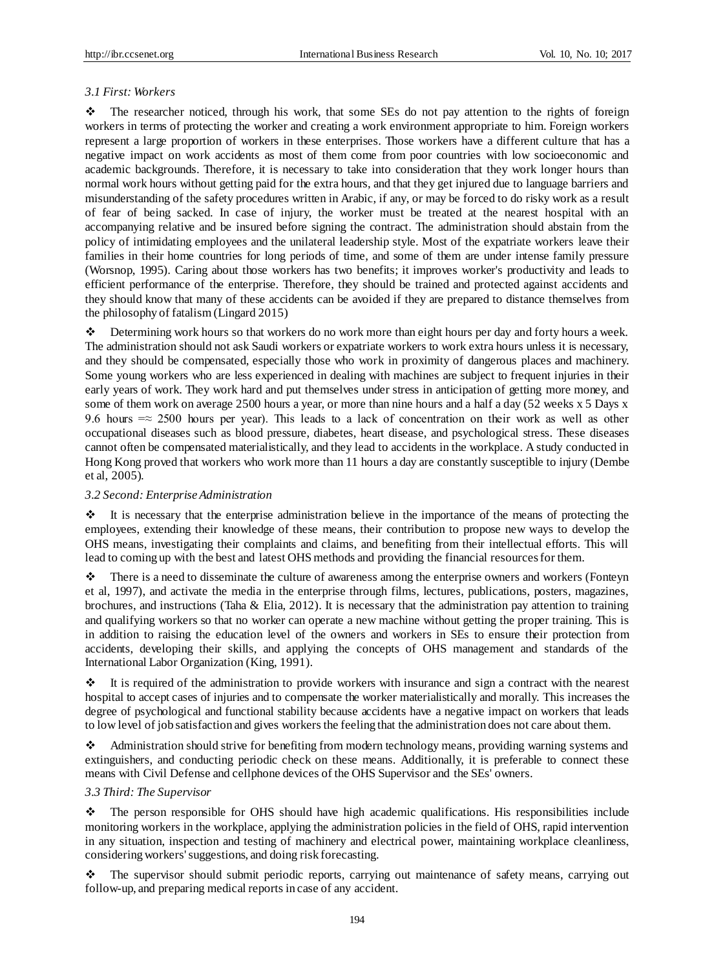#### *3.1 First: Workers*

 The researcher noticed, through his work, that some SEs do not pay attention to the rights of foreign workers in terms of protecting the worker and creating a work environment appropriate to him. Foreign workers represent a large proportion of workers in these enterprises. Those workers have a different culture that has a negative impact on work accidents as most of them come from poor countries with low socioeconomic and academic backgrounds. Therefore, it is necessary to take into consideration that they work longer hours than normal work hours without getting paid for the extra hours, and that they get injured due to language barriers and misunderstanding of the safety procedures written in Arabic, if any, or may be forced to do risky work as a result of fear of being sacked. In case of injury, the worker must be treated at the nearest hospital with an accompanying relative and be insured before signing the contract. The administration should abstain from the policy of intimidating employees and the unilateral leadership style. Most of the expatriate workers leave their families in their home countries for long periods of time, and some of them are under intense family pressure (Worsnop, 1995). Caring about those workers has two benefits; it improves worker's productivity and leads to efficient performance of the enterprise. Therefore, they should be trained and protected against accidents and they should know that many of these accidents can be avoided if they are prepared to distance themselves from the philosophy of fatalism (Lingard 2015)

 Determining work hours so that workers do no work more than eight hours per day and forty hours a week. The administration should not ask Saudi workers or expatriate workers to work extra hours unless it is necessary, and they should be compensated, especially those who work in proximity of dangerous places and machinery. Some young workers who are less experienced in dealing with machines are subject to frequent injuries in their early years of work. They work hard and put themselves under stress in anticipation of getting more money, and some of them work on average 2500 hours a year, or more than nine hours and a half a day (52 weeks x 5 Days x 9.6 hours  $=\approx 2500$  hours per year). This leads to a lack of concentration on their work as well as other occupational diseases such as blood pressure, diabetes, heart disease, and psychological stress. These diseases cannot often be compensated materialistically, and they lead to accidents in the workplace. A study conducted in Hong Kong proved that workers who work more than 11 hours a day are constantly susceptible to injury (Dembe et al, 2005).

#### *3.2 Second: Enterprise Administration*

 $\cdot \cdot$  It is necessary that the enterprise administration believe in the importance of the means of protecting the employees, extending their knowledge of these means, their contribution to propose new ways to develop the OHS means, investigating their complaints and claims, and benefiting from their intellectual efforts. This will lead to coming up with the best and latest OHS methods and providing the financial resources for them.

 There is a need to disseminate the culture of awareness among the enterprise owners and workers (Fonteyn et al, 1997), and activate the media in the enterprise through films, lectures, publications, posters, magazines, brochures, and instructions (Taha & Elia, 2012). It is necessary that the administration pay attention to training and qualifying workers so that no worker can operate a new machine without getting the proper training. This is in addition to raising the education level of the owners and workers in SEs to ensure their protection from accidents, developing their skills, and applying the concepts of OHS management and standards of the International Labor Organization (King, 1991).

 $\cdot \cdot$  It is required of the administration to provide workers with insurance and sign a contract with the nearest hospital to accept cases of injuries and to compensate the worker materialistically and morally. This increases the degree of psychological and functional stability because accidents have a negative impact on workers that leads to low level of job satisfaction and gives workers the feeling that the administration does not care about them.

 Administration should strive for benefiting from modern technology means, providing warning systems and extinguishers, and conducting periodic check on these means. Additionally, it is preferable to connect these means with Civil Defense and cellphone devices of the OHS Supervisor and the SEs' owners.

#### *3.3 Third: The Supervisor*

 The person responsible for OHS should have high academic qualifications. His responsibilities include monitoring workers in the workplace, applying the administration policies in the field of OHS, rapid intervention in any situation, inspection and testing of machinery and electrical power, maintaining workplace cleanliness, considering workers' suggestions, and doing risk forecasting.

 The supervisor should submit periodic reports, carrying out maintenance of safety means, carrying out follow-up, and preparing medical reports in case of any accident.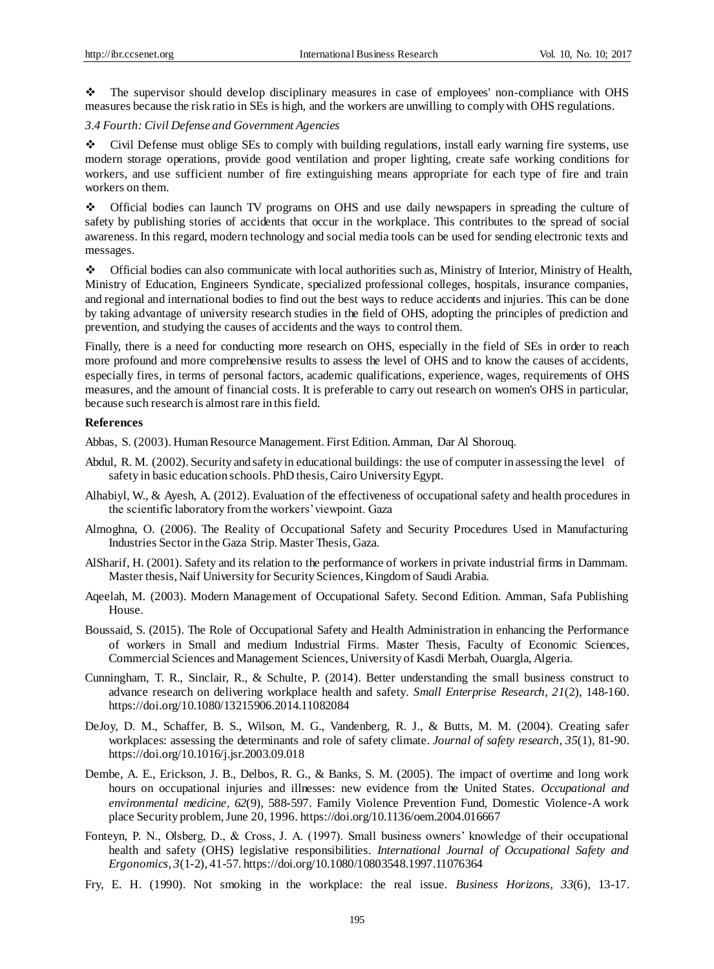The supervisor should develop disciplinary measures in case of employees' non-compliance with OHS measures because the risk ratio in SEs is high, and the workers are unwilling to comply with OHS regulations.

# *3.4 Fourth: Civil Defense and Government Agencies*

 Civil Defense must oblige SEs to comply with building regulations, install early warning fire systems, use modern storage operations, provide good ventilation and proper lighting, create safe working conditions for workers, and use sufficient number of fire extinguishing means appropriate for each type of fire and train workers on them.

 Official bodies can launch TV programs on OHS and use daily newspapers in spreading the culture of safety by publishing stories of accidents that occur in the workplace. This contributes to the spread of social awareness. In this regard, modern technology and social media tools can be used for sending electronic texts and messages.

 Official bodies can also communicate with local authorities such as, Ministry of Interior, Ministry of Health, Ministry of Education, Engineers Syndicate, specialized professional colleges, hospitals, insurance companies, and regional and international bodies to find out the best ways to reduce accidents and injuries. This can be done by taking advantage of university research studies in the field of OHS, adopting the principles of prediction and prevention, and studying the causes of accidents and the ways to control them.

Finally, there is a need for conducting more research on OHS, especially in the field of SEs in order to reach more profound and more comprehensive results to assess the level of OHS and to know the causes of accidents, especially fires, in terms of personal factors, academic qualifications, experience, wages, requirements of OHS measures, and the amount of financial costs. It is preferable to carry out research on women's OHS in particular, because such research is almost rare in this field.

#### **References**

Abbas, S. (2003). Human Resource Management. First Edition. Amman, Dar Al Shorouq.

- Abdul, R. M. (2002). Security and safety in educational buildings: the use of computer in assessing the level of safety in basic education schools. PhD thesis, Cairo University Egypt.
- Alhabiyl, W., & Ayesh, A. (2012). Evaluation of the effectiveness of occupational safety and health procedures in the scientific laboratory from the workers' viewpoint. Gaza
- Almoghna, O. (2006). The Reality of Occupational Safety and Security Procedures Used in Manufacturing Industries Sector in the Gaza Strip. Master Thesis, Gaza.
- AlSharif, H. (2001). Safety and its relation to the performance of workers in private industrial firms in Dammam. Master thesis, Naif University for Security Sciences, Kingdom of Saudi Arabia.
- Aqeelah, M. (2003). Modern Management of Occupational Safety. Second Edition. Amman, Safa Publishing House.
- Boussaid, S. (2015). The Role of Occupational Safety and Health Administration in enhancing the Performance of workers in Small and medium Industrial Firms. Master Thesis, Faculty of Economic Sciences, Commercial Sciences and Management Sciences, University of Kasdi Merbah, Ouargla, Algeria.
- Cunningham, T. R., Sinclair, R., & Schulte, P. (2014). Better understanding the small business construct to advance research on delivering workplace health and safety*. Small Enterprise Research, 21*(2), 148-160. https://doi.org/10.1080/13215906.2014.11082084
- DeJoy, D. M., Schaffer, B. S., Wilson, M. G., Vandenberg, R. J., & Butts, M. M. (2004). Creating safer workplaces: assessing the determinants and role of safety climate. *Journal of safety research, 35*(1), 81-90. https://doi.org/10.1016/j.jsr.2003.09.018
- Dembe, A. E., Erickson, J. B., Delbos, R. G., & Banks, S. M. (2005). The impact of overtime and long work hours on occupational injuries and illnesses: new evidence from the United States. *Occupational and environmental medicine, 62*(9), 588-597. Family Violence Prevention Fund, Domestic Violence-A work place Security problem, June 20, 1996. https://doi.org/10.1136/oem.2004.016667
- Fonteyn, P. N., Olsberg, D., & Cross, J. A. (1997). Small business owners' knowledge of their occupational health and safety (OHS) legislative responsibilities. *International Journal of Occupational Safety and Ergonomics, 3*(1-2), 41-57. https://doi.org/10.1080/10803548.1997.11076364
- Fry, E. H. (1990). Not smoking in the workplace: the real issue. *Business Horizons, 33*(6), 13-17.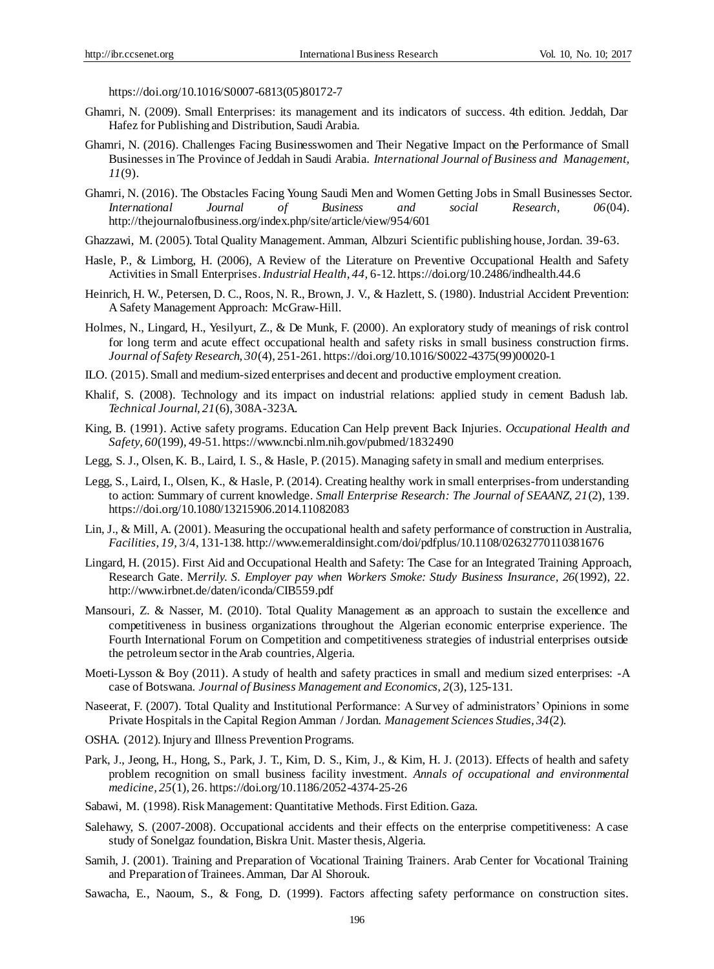[https://doi.org/10.1016/S0007-6813\(05\)80172-7](https://doi.org/10.1016/S0007-6813(05)80172-7)

- Ghamri, N. (2009). Small Enterprises: its management and its indicators of success. 4th edition. Jeddah, Dar Hafez for Publishing and Distribution, Saudi Arabia.
- Ghamri, N. (2016). Challenges Facing Businesswomen and Their Negative Impact on the Performance of Small Businesses in The Province of Jeddah in Saudi Arabia. *International Journal of Business and Management, 11*(9).
- Ghamri, N. (2016). The Obstacles Facing Young Saudi Men and Women Getting Jobs in Small Businesses Sector. *International Journal of Business and social Research, 06*(04). <http://thejournalofbusiness.org/index.php/site/article/view/954/601>
- Ghazzawi, M. (2005). Total Quality Management. Amman, Albzuri Scientific publishing house, Jordan. 39-63.
- Hasle, P., & Limborg, H. (2006), A Review of the Literature on Preventive Occupational Health and Safety Activities in Small Enterprises.*Industrial Health, 44,* 6-12. https://doi.org/10.2486/indhealth.44.6
- Heinrich, H. W., Petersen, D. C., Roos, N. R., Brown, J. V., & Hazlett, S. (1980). Industrial Accident Prevention: A Safety Management Approach: McGraw-Hill.
- Holmes, N., Lingard, H., Yesilyurt, Z., & De Munk, F. (2000). An exploratory study of meanings of risk control for long term and acute effect occupational health and safety risks in small business construction firms. *Journal of Safety Research, 30*(4), 251-261[. https://doi.org/10.1016/S0022-4375\(99\)00020-1](https://doi.org/10.1016/S0022-4375(99)00020-1)
- ILO. (2015). Small and medium-sized enterprises and decent and productive employment creation.
- Khalif, S. (2008). Technology and its impact on industrial relations: applied study in cement Badush lab. *Technical Journal, 21*(6), 308A -323A.
- King, B. (1991). Active safety programs. Education Can Help prevent Back Injuries. *Occupational Health and Safety, 60*(199), 49-51[. https://www.ncbi.nlm.nih.gov/pubmed/1832490](https://www.ncbi.nlm.nih.gov/pubmed/1832490)
- Legg, S. J., Olsen, K. B., Laird, I. S., & Hasle, P. (2015). Managing safety in small and medium enterprises.
- Legg, S., Laird, I., Olsen, K., & Hasle, P. (2014). Creating healthy work in small enterprises-from understanding to action: Summary of current knowledge. *Small Enterprise Research: The Journal of SEAANZ, 21*(2), 139. https://doi.org/10.1080/13215906.2014.11082083
- Lin, J., & Mill, A. (2001). Measuring the occupational health and safety performance of construction in Australia, *Facilities, 19,* 3/4, 131-138[. http://www.emeraldinsight.com/doi/pdfplus/10.1108/02632770110381676](http://www.emeraldinsight.com/doi/pdfplus/10.1108/02632770110381676)
- Lingard, H. (2015). First Aid and Occupational Health and Safety: The Case for an Integrated Training Approach, Research Gate. M*errily. S. Employer pay when Workers Smoke: Study Business Insurance, 26*(1992), 22. <http://www.irbnet.de/daten/iconda/CIB559.pdf>
- Mansouri, Z. & Nasser, M. (2010). Total Quality Management as an approach to sustain the excellence and competitiveness in business organizations throughout the Algerian economic enterprise experience. The Fourth International Forum on Competition and competitiveness strategies of industrial enterprises outside the petroleum sector in the Arab countries, Algeria.
- Moeti-Lysson & Boy (2011). A study of health and safety practices in small and medium sized enterprises: -A case of Botswana. *Journal of Business Management and Economics, 2*(3), 125-131.
- Naseerat, F. (2007). Total Quality and Institutional Performance: A Survey of administrators' Opinions in some Private Hospitals in the Capital Region Amman / Jordan. *Management Sciences Studies, 34*(2).
- OSHA. (2012).Injury and Illness Prevention Programs.
- Park, J., Jeong, H., Hong, S., Park, J. T., Kim, D. S., Kim, J., & Kim, H. J. (2013). Effects of health and safety problem recognition on small business facility investment. *Annals of occupational and environmental medicine, 25*(1), 26. https://doi.org/10.1186/2052-4374-25-26
- Sabawi, M. (1998). Risk Management: Quantitative Methods. First Edition. Gaza.
- Salehawy, S. (2007-2008). Occupational accidents and their effects on the enterprise competitiveness: A case study of Sonelgaz foundation, Biskra Unit. Master thesis, Algeria.
- Samih, J. (2001). Training and Preparation of Vocational Training Trainers. Arab Center for Vocational Training and Preparation of Trainees. Amman, Dar Al Shorouk.
- Sawacha, E., Naoum, S., & Fong, D. (1999). Factors affecting safety performance on construction sites.